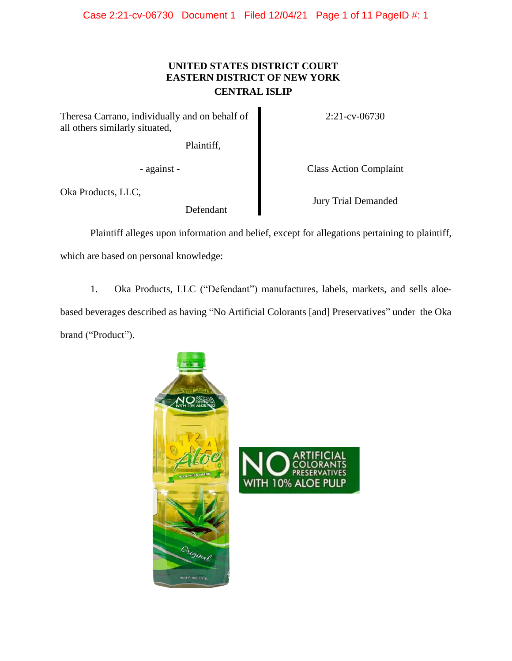## **UNITED STATES DISTRICT COURT EASTERN DISTRICT OF NEW YORK CENTRAL ISLIP**

Theresa Carrano, individually and on behalf of all others similarly situated,

Plaintiff,

Oka Products, LLC,

Defendant

2:21-cv-06730

- against - Class Action Complaint

Jury Trial Demanded

Plaintiff alleges upon information and belief, except for allegations pertaining to plaintiff, which are based on personal knowledge:

1. Oka Products, LLC ("Defendant") manufactures, labels, markets, and sells aloebased beverages described as having "No Artificial Colorants [and] Preservatives" under the Oka brand ("Product").



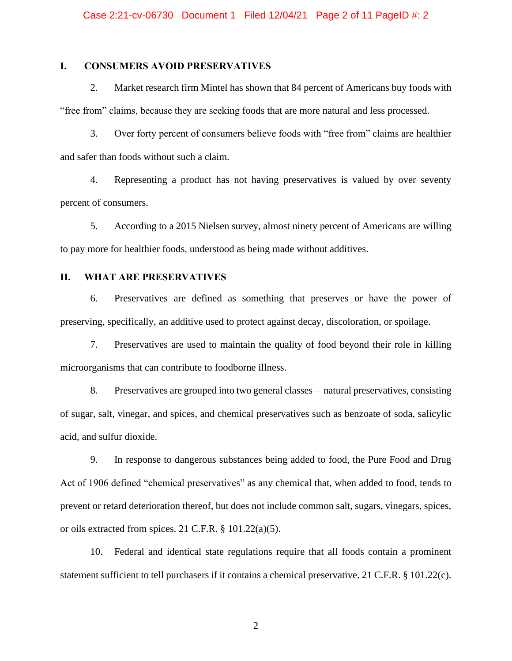## **I. CONSUMERS AVOID PRESERVATIVES**

2. Market research firm Mintel has shown that 84 percent of Americans buy foods with "free from" claims, because they are seeking foods that are more natural and less processed.

3. Over forty percent of consumers believe foods with "free from" claims are healthier and safer than foods without such a claim.

4. Representing a product has not having preservatives is valued by over seventy percent of consumers.

5. According to a 2015 Nielsen survey, almost ninety percent of Americans are willing to pay more for healthier foods, understood as being made without additives.

## **II. WHAT ARE PRESERVATIVES**

6. Preservatives are defined as something that preserves or have the power of preserving, specifically, an additive used to protect against decay, discoloration, or spoilage.

7. Preservatives are used to maintain the quality of food beyond their role in killing microorganisms that can contribute to foodborne illness.

8. Preservatives are grouped into two general classes – natural preservatives, consisting of sugar, salt, vinegar, and spices, and chemical preservatives such as benzoate of soda, salicylic acid, and sulfur dioxide.

9. In response to dangerous substances being added to food, the Pure Food and Drug Act of 1906 defined "chemical preservatives" as any chemical that, when added to food, tends to prevent or retard deterioration thereof, but does not include common salt, sugars, vinegars, spices, or oils extracted from spices. 21 C.F.R. § 101.22(a)(5).

10. Federal and identical state regulations require that all foods contain a prominent statement sufficient to tell purchasers if it contains a chemical preservative. 21 C.F.R. § 101.22(c).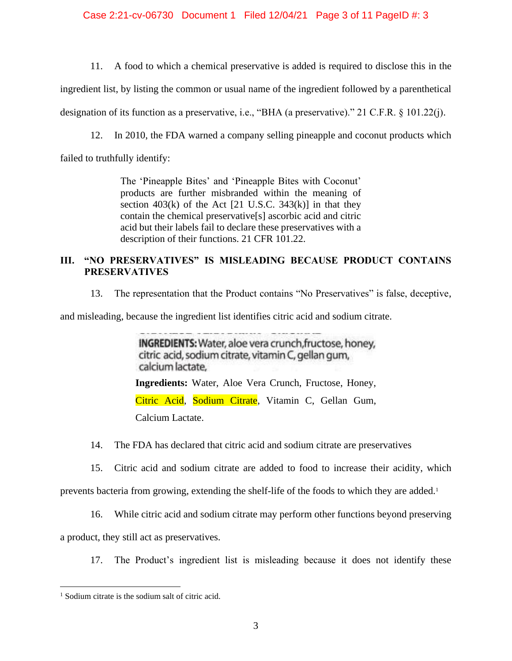Case 2:21-cv-06730 Document 1 Filed 12/04/21 Page 3 of 11 PageID #: 3

11. A food to which a chemical preservative is added is required to disclose this in the

ingredient list, by listing the common or usual name of the ingredient followed by a parenthetical

designation of its function as a preservative, i.e., "BHA (a preservative)." 21 C.F.R. § 101.22(j).

12. In 2010, the FDA warned a company selling pineapple and coconut products which

failed to truthfully identify:

The 'Pineapple Bites' and 'Pineapple Bites with Coconut' products are further misbranded within the meaning of section  $403(k)$  of the Act [21 U.S.C. 343 $(k)$ ] in that they contain the chemical preservative[s] ascorbic acid and citric acid but their labels fail to declare these preservatives with a description of their functions. 21 CFR 101.22.

## **III. "NO PRESERVATIVES" IS MISLEADING BECAUSE PRODUCT CONTAINS PRESERVATIVES**

13. The representation that the Product contains "No Preservatives" is false, deceptive,

and misleading, because the ingredient list identifies citric acid and sodium citrate.

INGREDIENTS: Water, aloe vera crunch, fructose, honey, citric acid, sodium citrate, vitamin C, gellan gum, calcium lactate. **Ingredients:** Water, Aloe Vera Crunch, Fructose, Honey, Citric Acid, Sodium Citrate, Vitamin C, Gellan Gum, Calcium Lactate.

14. The FDA has declared that citric acid and sodium citrate are preservatives

15. Citric acid and sodium citrate are added to food to increase their acidity, which

prevents bacteria from growing, extending the shelf-life of the foods to which they are added.<sup>1</sup>

16. While citric acid and sodium citrate may perform other functions beyond preserving

a product, they still act as preservatives.

17. The Product's ingredient list is misleading because it does not identify these

<sup>1</sup> Sodium citrate is the sodium salt of citric acid.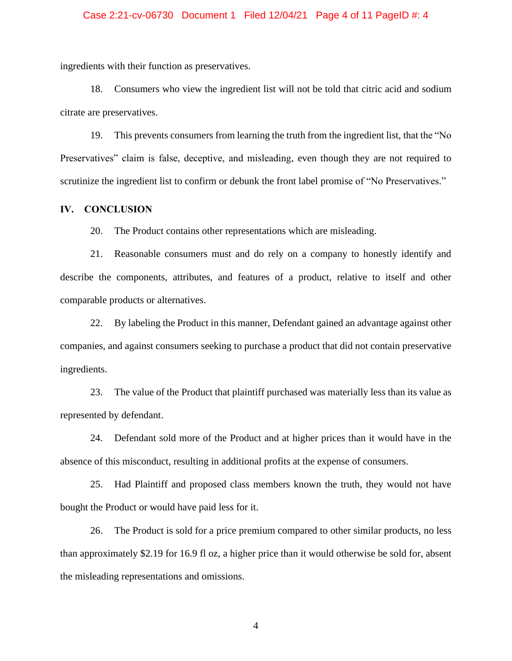## Case 2:21-cv-06730 Document 1 Filed 12/04/21 Page 4 of 11 PageID #: 4

ingredients with their function as preservatives.

18. Consumers who view the ingredient list will not be told that citric acid and sodium citrate are preservatives.

19. This prevents consumers from learning the truth from the ingredient list, that the "No Preservatives" claim is false, deceptive, and misleading, even though they are not required to scrutinize the ingredient list to confirm or debunk the front label promise of "No Preservatives."

## **IV. CONCLUSION**

20. The Product contains other representations which are misleading.

21. Reasonable consumers must and do rely on a company to honestly identify and describe the components, attributes, and features of a product, relative to itself and other comparable products or alternatives.

22. By labeling the Product in this manner, Defendant gained an advantage against other companies, and against consumers seeking to purchase a product that did not contain preservative ingredients.

23. The value of the Product that plaintiff purchased was materially less than its value as represented by defendant.

24. Defendant sold more of the Product and at higher prices than it would have in the absence of this misconduct, resulting in additional profits at the expense of consumers.

25. Had Plaintiff and proposed class members known the truth, they would not have bought the Product or would have paid less for it.

26. The Product is sold for a price premium compared to other similar products, no less than approximately \$2.19 for 16.9 fl oz, a higher price than it would otherwise be sold for, absent the misleading representations and omissions.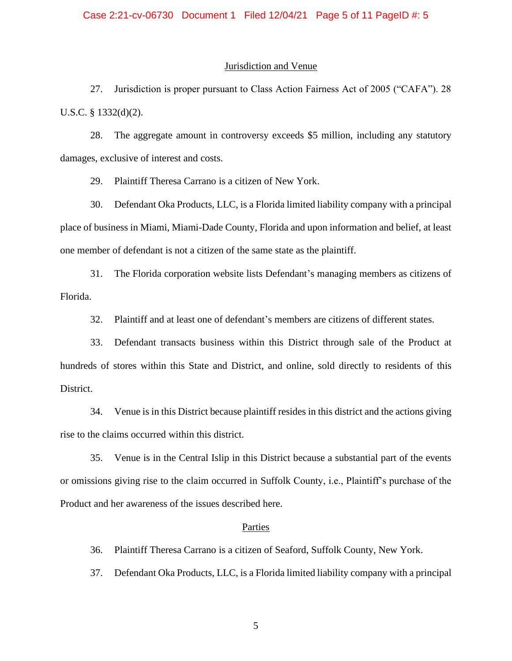#### Jurisdiction and Venue

27. Jurisdiction is proper pursuant to Class Action Fairness Act of 2005 ("CAFA"). 28 U.S.C. § 1332(d)(2).

28. The aggregate amount in controversy exceeds \$5 million, including any statutory damages, exclusive of interest and costs.

29. Plaintiff Theresa Carrano is a citizen of New York.

30. Defendant Oka Products, LLC, is a Florida limited liability company with a principal place of business in Miami, Miami-Dade County, Florida and upon information and belief, at least one member of defendant is not a citizen of the same state as the plaintiff.

31. The Florida corporation website lists Defendant's managing members as citizens of Florida.

32. Plaintiff and at least one of defendant's members are citizens of different states.

33. Defendant transacts business within this District through sale of the Product at hundreds of stores within this State and District, and online, sold directly to residents of this District.

34. Venue is in this District because plaintiff resides in this district and the actions giving rise to the claims occurred within this district.

35. Venue is in the Central Islip in this District because a substantial part of the events or omissions giving rise to the claim occurred in Suffolk County, i.e., Plaintiff's purchase of the Product and her awareness of the issues described here.

#### **Parties**

36. Plaintiff Theresa Carrano is a citizen of Seaford, Suffolk County, New York.

37. Defendant Oka Products, LLC, is a Florida limited liability company with a principal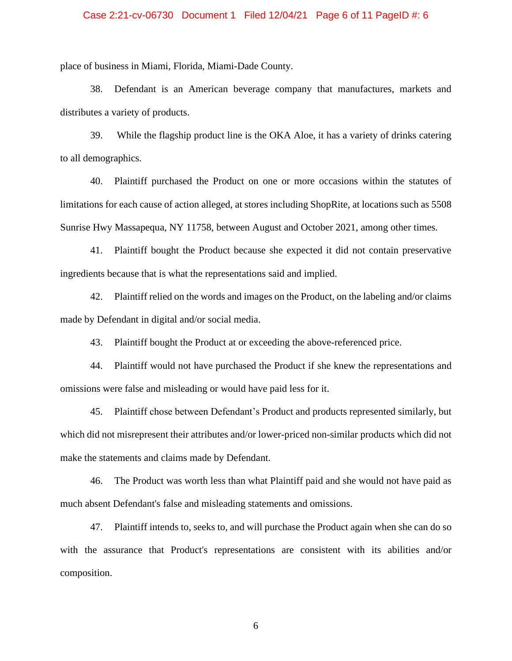## Case 2:21-cv-06730 Document 1 Filed 12/04/21 Page 6 of 11 PageID #: 6

place of business in Miami, Florida, Miami-Dade County.

38. Defendant is an American beverage company that manufactures, markets and distributes a variety of products.

39. While the flagship product line is the OKA Aloe, it has a variety of drinks catering to all demographics.

40. Plaintiff purchased the Product on one or more occasions within the statutes of limitations for each cause of action alleged, at stores including ShopRite, at locations such as 5508 Sunrise Hwy Massapequa, NY 11758, between August and October 2021, among other times.

41. Plaintiff bought the Product because she expected it did not contain preservative ingredients because that is what the representations said and implied.

42. Plaintiff relied on the words and images on the Product, on the labeling and/or claims made by Defendant in digital and/or social media.

43. Plaintiff bought the Product at or exceeding the above-referenced price.

44. Plaintiff would not have purchased the Product if she knew the representations and omissions were false and misleading or would have paid less for it.

45. Plaintiff chose between Defendant's Product and products represented similarly, but which did not misrepresent their attributes and/or lower-priced non-similar products which did not make the statements and claims made by Defendant.

46. The Product was worth less than what Plaintiff paid and she would not have paid as much absent Defendant's false and misleading statements and omissions.

47. Plaintiff intends to, seeks to, and will purchase the Product again when she can do so with the assurance that Product's representations are consistent with its abilities and/or composition.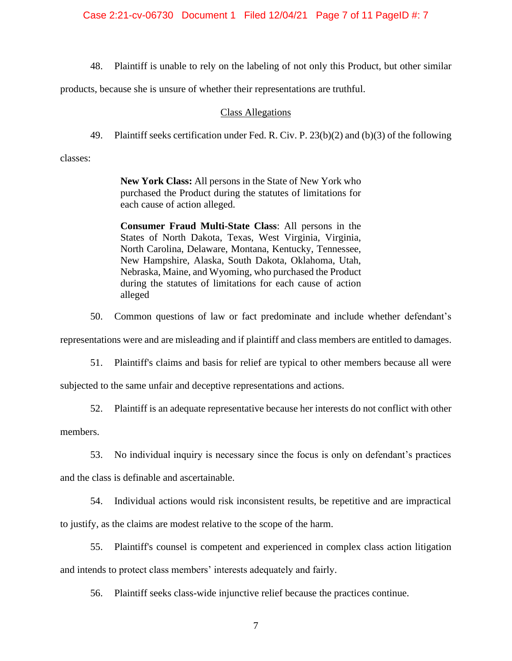48. Plaintiff is unable to rely on the labeling of not only this Product, but other similar

products, because she is unsure of whether their representations are truthful.

#### Class Allegations

49. Plaintiff seeks certification under Fed. R. Civ. P. 23(b)(2) and (b)(3) of the following

classes:

**New York Class:** All persons in the State of New York who purchased the Product during the statutes of limitations for each cause of action alleged.

**Consumer Fraud Multi-State Class**: All persons in the States of North Dakota, Texas, West Virginia, Virginia, North Carolina, Delaware, Montana, Kentucky, Tennessee, New Hampshire, Alaska, South Dakota, Oklahoma, Utah, Nebraska, Maine, and Wyoming, who purchased the Product during the statutes of limitations for each cause of action alleged

50. Common questions of law or fact predominate and include whether defendant's

representations were and are misleading and if plaintiff and class members are entitled to damages.

51. Plaintiff's claims and basis for relief are typical to other members because all were

subjected to the same unfair and deceptive representations and actions.

52. Plaintiff is an adequate representative because her interests do not conflict with other

members.

53. No individual inquiry is necessary since the focus is only on defendant's practices

and the class is definable and ascertainable.

54. Individual actions would risk inconsistent results, be repetitive and are impractical to justify, as the claims are modest relative to the scope of the harm.

55. Plaintiff's counsel is competent and experienced in complex class action litigation and intends to protect class members' interests adequately and fairly.

56. Plaintiff seeks class-wide injunctive relief because the practices continue.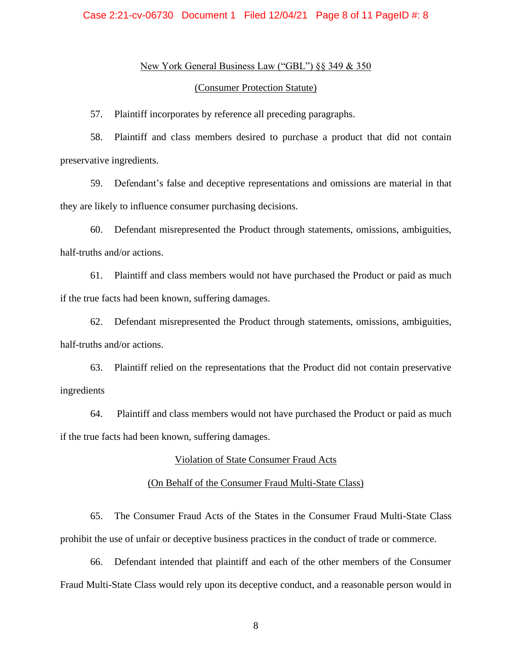## New York General Business Law ("GBL") §§ 349 & 350

#### (Consumer Protection Statute)

57. Plaintiff incorporates by reference all preceding paragraphs.

58. Plaintiff and class members desired to purchase a product that did not contain preservative ingredients.

59. Defendant's false and deceptive representations and omissions are material in that they are likely to influence consumer purchasing decisions.

60. Defendant misrepresented the Product through statements, omissions, ambiguities, half-truths and/or actions.

61. Plaintiff and class members would not have purchased the Product or paid as much if the true facts had been known, suffering damages.

62. Defendant misrepresented the Product through statements, omissions, ambiguities, half-truths and/or actions.

63. Plaintiff relied on the representations that the Product did not contain preservative ingredients

64. Plaintiff and class members would not have purchased the Product or paid as much if the true facts had been known, suffering damages.

## Violation of State Consumer Fraud Acts

## (On Behalf of the Consumer Fraud Multi-State Class)

65. The Consumer Fraud Acts of the States in the Consumer Fraud Multi-State Class prohibit the use of unfair or deceptive business practices in the conduct of trade or commerce.

66. Defendant intended that plaintiff and each of the other members of the Consumer Fraud Multi-State Class would rely upon its deceptive conduct, and a reasonable person would in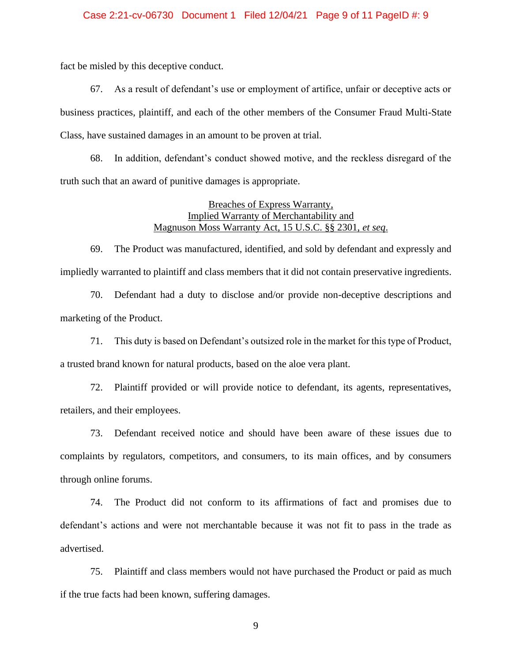## Case 2:21-cv-06730 Document 1 Filed 12/04/21 Page 9 of 11 PageID #: 9

fact be misled by this deceptive conduct.

67. As a result of defendant's use or employment of artifice, unfair or deceptive acts or business practices, plaintiff, and each of the other members of the Consumer Fraud Multi-State Class, have sustained damages in an amount to be proven at trial.

68. In addition, defendant's conduct showed motive, and the reckless disregard of the truth such that an award of punitive damages is appropriate.

## Breaches of Express Warranty, Implied Warranty of Merchantability and Magnuson Moss Warranty Act, 15 U.S.C. §§ 2301, *et seq*.

69. The Product was manufactured, identified, and sold by defendant and expressly and impliedly warranted to plaintiff and class members that it did not contain preservative ingredients.

70. Defendant had a duty to disclose and/or provide non-deceptive descriptions and marketing of the Product.

71. This duty is based on Defendant's outsized role in the market for this type of Product, a trusted brand known for natural products, based on the aloe vera plant.

72. Plaintiff provided or will provide notice to defendant, its agents, representatives, retailers, and their employees.

73. Defendant received notice and should have been aware of these issues due to complaints by regulators, competitors, and consumers, to its main offices, and by consumers through online forums.

74. The Product did not conform to its affirmations of fact and promises due to defendant's actions and were not merchantable because it was not fit to pass in the trade as advertised.

75. Plaintiff and class members would not have purchased the Product or paid as much if the true facts had been known, suffering damages.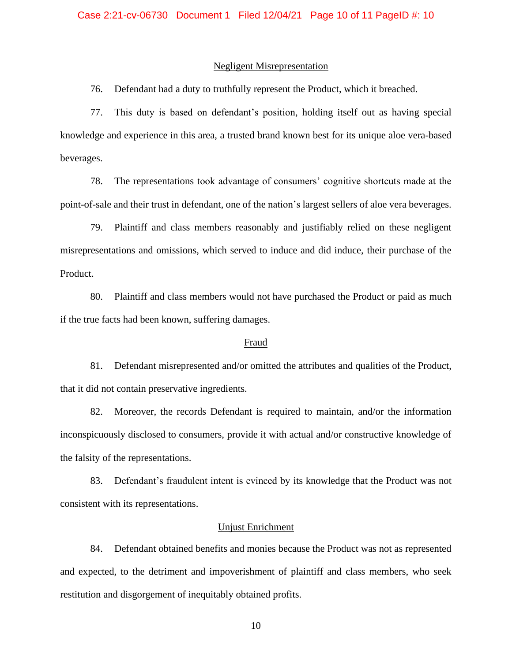#### Negligent Misrepresentation

76. Defendant had a duty to truthfully represent the Product, which it breached.

77. This duty is based on defendant's position, holding itself out as having special knowledge and experience in this area, a trusted brand known best for its unique aloe vera-based beverages.

78. The representations took advantage of consumers' cognitive shortcuts made at the point-of-sale and their trust in defendant, one of the nation's largest sellers of aloe vera beverages.

79. Plaintiff and class members reasonably and justifiably relied on these negligent misrepresentations and omissions, which served to induce and did induce, their purchase of the Product.

80. Plaintiff and class members would not have purchased the Product or paid as much if the true facts had been known, suffering damages.

## Fraud

81. Defendant misrepresented and/or omitted the attributes and qualities of the Product, that it did not contain preservative ingredients.

82. Moreover, the records Defendant is required to maintain, and/or the information inconspicuously disclosed to consumers, provide it with actual and/or constructive knowledge of the falsity of the representations.

83. Defendant's fraudulent intent is evinced by its knowledge that the Product was not consistent with its representations.

#### Unjust Enrichment

84. Defendant obtained benefits and monies because the Product was not as represented and expected, to the detriment and impoverishment of plaintiff and class members, who seek restitution and disgorgement of inequitably obtained profits.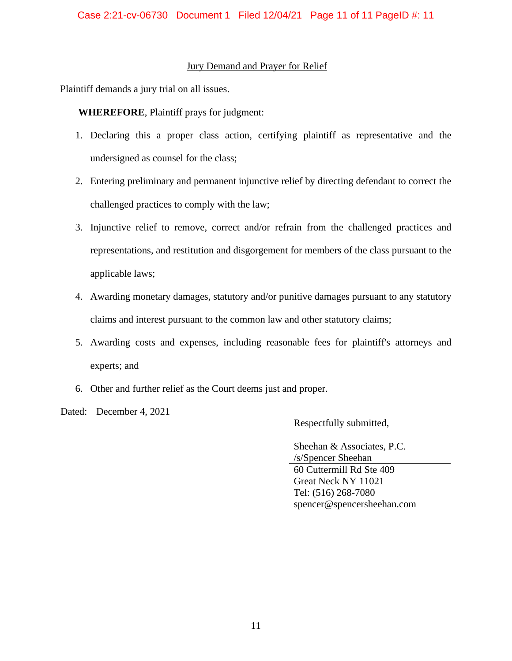## Jury Demand and Prayer for Relief

Plaintiff demands a jury trial on all issues.

**WHEREFORE**, Plaintiff prays for judgment:

- 1. Declaring this a proper class action, certifying plaintiff as representative and the undersigned as counsel for the class;
- 2. Entering preliminary and permanent injunctive relief by directing defendant to correct the challenged practices to comply with the law;
- 3. Injunctive relief to remove, correct and/or refrain from the challenged practices and representations, and restitution and disgorgement for members of the class pursuant to the applicable laws;
- 4. Awarding monetary damages, statutory and/or punitive damages pursuant to any statutory claims and interest pursuant to the common law and other statutory claims;
- 5. Awarding costs and expenses, including reasonable fees for plaintiff's attorneys and experts; and
- 6. Other and further relief as the Court deems just and proper.
- Dated: December 4, 2021

Respectfully submitted,

Sheehan & Associates, P.C. /s/Spencer Sheehan 60 Cuttermill Rd Ste 409 Great Neck NY 11021 Tel: (516) 268-7080 spencer@spencersheehan.com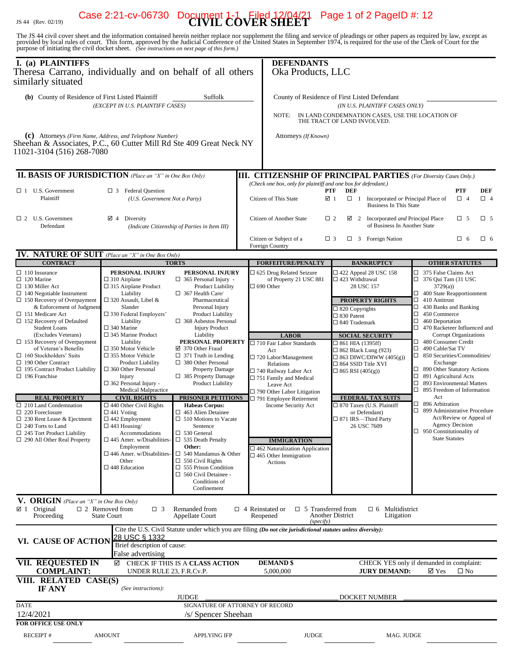# JS 44 (Rev. 02/19) **CIVIL COVER SHEET** Case 2:21-cv-06730 Document 1-1 Filed 12/04/21 Page 1 of 2 PageID #: 12

The JS 44 civil cover sheet and the information contained herein neither replace nor supplement the filing and service of pleadings or other papers as required by law, except as provided by local rules of court. This form,

| I. (a) PLAINTIFFS<br>Theresa Carrano, individually and on behalf of all others<br>similarly situated                                                                                                                                                                                    |                                                                                                                                                                                                                                                                         |                                                                                                                                                                                                                                                                                                                                                                                                                                  |                                                                                                                                                                                                     | <b>DEFENDANTS</b><br>Oka Products, LLC                                                                                                                                                                                           |                                                                                                                                                                                             |                                                                                                                                                                                                                                                 |                                                                                                                                                                                                                                                                              |  |
|-----------------------------------------------------------------------------------------------------------------------------------------------------------------------------------------------------------------------------------------------------------------------------------------|-------------------------------------------------------------------------------------------------------------------------------------------------------------------------------------------------------------------------------------------------------------------------|----------------------------------------------------------------------------------------------------------------------------------------------------------------------------------------------------------------------------------------------------------------------------------------------------------------------------------------------------------------------------------------------------------------------------------|-----------------------------------------------------------------------------------------------------------------------------------------------------------------------------------------------------|----------------------------------------------------------------------------------------------------------------------------------------------------------------------------------------------------------------------------------|---------------------------------------------------------------------------------------------------------------------------------------------------------------------------------------------|-------------------------------------------------------------------------------------------------------------------------------------------------------------------------------------------------------------------------------------------------|------------------------------------------------------------------------------------------------------------------------------------------------------------------------------------------------------------------------------------------------------------------------------|--|
| (b) County of Residence of First Listed Plaintiff<br>Suffolk<br>(EXCEPT IN U.S. PLAINTIFF CASES)                                                                                                                                                                                        |                                                                                                                                                                                                                                                                         |                                                                                                                                                                                                                                                                                                                                                                                                                                  |                                                                                                                                                                                                     | County of Residence of First Listed Defendant<br>(IN U.S. PLAINTIFF CASES ONLY)<br>IN LAND CONDEMNATION CASES, USE THE LOCATION OF<br>NOTE:<br>THE TRACT OF LAND INVOLVED.                                                       |                                                                                                                                                                                             |                                                                                                                                                                                                                                                 |                                                                                                                                                                                                                                                                              |  |
| (c) Attorneys (Firm Name, Address, and Telephone Number)<br>Sheehan & Associates, P.C., 60 Cutter Mill Rd Ste 409 Great Neck NY<br>11021-3104 (516) 268-7080                                                                                                                            |                                                                                                                                                                                                                                                                         |                                                                                                                                                                                                                                                                                                                                                                                                                                  |                                                                                                                                                                                                     | Attorneys (If Known)                                                                                                                                                                                                             |                                                                                                                                                                                             |                                                                                                                                                                                                                                                 |                                                                                                                                                                                                                                                                              |  |
| <b>II. BASIS OF JURISDICTION</b> (Place an "X" in One Box Only)                                                                                                                                                                                                                         |                                                                                                                                                                                                                                                                         |                                                                                                                                                                                                                                                                                                                                                                                                                                  |                                                                                                                                                                                                     | <b>III. CITIZENSHIP OF PRINCIPAL PARTIES</b> (For Diversity Cases Only.)                                                                                                                                                         |                                                                                                                                                                                             |                                                                                                                                                                                                                                                 |                                                                                                                                                                                                                                                                              |  |
| $\Box$ 1 U.S. Government<br>Plaintiff                                                                                                                                                                                                                                                   | $\Box$ 3 Federal Question<br>(U.S. Government Not a Party)                                                                                                                                                                                                              |                                                                                                                                                                                                                                                                                                                                                                                                                                  |                                                                                                                                                                                                     | (Check one box, only for plaintiff and one box for defendant.)<br><b>DEF</b><br><b>PTF</b><br>PTF<br>Citizen of This State<br>☑ 1<br>$\Box$ 1<br>Incorporated or Principal Place of<br>$\Box$ 4<br><b>Business In This State</b> |                                                                                                                                                                                             |                                                                                                                                                                                                                                                 |                                                                                                                                                                                                                                                                              |  |
| $\Box$ 2 U.S. Governmen<br>Defendant                                                                                                                                                                                                                                                    | $\boxtimes$ 4 Diversity<br>(Indicate Citizenship of Parties in Item III)                                                                                                                                                                                                |                                                                                                                                                                                                                                                                                                                                                                                                                                  |                                                                                                                                                                                                     | Citizen of Another State                                                                                                                                                                                                         | $\Box$ 5<br>$\Box$ 2<br>$\boxtimes$ 2<br>Incorporated and Principal Place<br>of Business In Another State                                                                                   |                                                                                                                                                                                                                                                 |                                                                                                                                                                                                                                                                              |  |
| <b>IV. NATURE OF SUIT</b> (Place an "X" in One Box Only)                                                                                                                                                                                                                                |                                                                                                                                                                                                                                                                         |                                                                                                                                                                                                                                                                                                                                                                                                                                  |                                                                                                                                                                                                     | Citizen or Subject of a<br>Foreign Country                                                                                                                                                                                       | $\square$ 3                                                                                                                                                                                 | $\Box$ 3 Foreign Nation                                                                                                                                                                                                                         | $\Box$ 6<br>$\Box$ 6                                                                                                                                                                                                                                                         |  |
| <b>CONTRACT</b>                                                                                                                                                                                                                                                                         |                                                                                                                                                                                                                                                                         | <b>TORTS</b>                                                                                                                                                                                                                                                                                                                                                                                                                     |                                                                                                                                                                                                     | <b>FORFEITURE/PENALTY</b>                                                                                                                                                                                                        |                                                                                                                                                                                             | <b>BANKRUPTCY</b>                                                                                                                                                                                                                               | <b>OTHER STATUTES</b>                                                                                                                                                                                                                                                        |  |
| $\Box$ 110 Insurance<br>$\Box$ 120 Marine<br>$\Box$ 130 Miller Act<br>$\Box$ 140 Negotiable Instrument<br>$\Box$ 150 Recovery of Overpayment<br>& Enforcement of Judgment<br>$\Box$ 151 Medicare Act<br>$\Box$ 152 Recovery of Defaulted<br><b>Student Loans</b><br>(Excludes Veterans) | PERSONAL INJURY<br>$\square$ 310 Airplane<br>$\square$ 315 Airplane Product<br>Liability<br>$\Box$ 320 Assault, Libel &<br>Slander<br>$\square$ 330 Federal Employers'<br>Liability<br>$\square$ 340 Marine<br>$\Box$ 345 Marine Product                                | PERSONAL INJURY<br>$\Box$ 365 Personal Injury -<br>Product Liability<br>$\Box$ 367 Health Care/<br>Pharmaceutical<br>Personal Injury<br><b>Product Liability</b><br>$\Box$ 368 Asbestos Personal<br><b>Injury Product</b><br>Liability<br>PERSONAL PROPERTY<br>☑ 370 Other Fraud<br>$\Box$ 371 Truth in Lending<br>$\Box$ 380 Other Personal<br><b>Property Damage</b><br>$\Box$ 385 Property Damage<br><b>Product Liability</b> |                                                                                                                                                                                                     | □ 625 Drug Related Seizure<br>of Property 21 USC 881<br>$\Box$ 690 Other<br><b>LABOR</b>                                                                                                                                         | $\Box$ 422 Appeal 28 USC 158<br>$\Box$ 423 Withdrawal<br>28 USC 157<br><b>PROPERTY RIGHTS</b><br>$\Box$ 820 Copyrights<br>$\square$ 830 Patent<br>□ 840 Trademark<br><b>SOCIAL SECURITY</b> |                                                                                                                                                                                                                                                 | □ 375 False Claims Act<br>$\Box$ 376 Qui Tam (31 USC<br>3729(a)<br>$\Box$ 400 State Reapportionment<br>$\Box$ 410 Antitrust<br>$\Box$ 430 Banks and Banking<br>$\Box$ 450 Commerce<br>$\Box$ 460 Deportation<br>$\Box$ 470 Racketeer Influenced and<br>Corrupt Organizations |  |
| $\Box$ 153 Recovery of Overpayment<br>of Veteran's Benefits<br>$\Box$ 160 Stockholders' Suits<br>$\Box$ 190 Other Contract<br>$\Box$ 195 Contract Product Liability<br>$\Box$ 196 Franchise                                                                                             | Liability<br>$\Box$ 350 Motor Vehicle<br>$\Box$ 355 Motor Vehicle<br><b>Product Liability</b><br>$\Box$ 360 Other Personal<br>Injury<br>$\Box$ 362 Personal Injury -<br>Medical Malpractice                                                                             |                                                                                                                                                                                                                                                                                                                                                                                                                                  | $\square$ 710 Fair Labor Standards<br>Act<br>$\Box$ 720 Labor/Management<br>Relations<br>□ 740 Railway Labor Act<br>$\Box$ 751 Family and Medical<br>Leave Act<br>$\Box$ 790 Other Labor Litigation | $\Box$ 861 HIA (1395ff)<br>$\Box$ 862 Black Lung (923)<br>$\Box$ 863 DIWC/DIWW (405(g))<br>$\square$ 864 SSID Title XVI<br>$\Box$ 865 RSI (405(g))                                                                               |                                                                                                                                                                                             | 480 Consumer Credit<br>$\Box$ 490 Cable/Sat TV<br>$\Box$ 850 Securities/Commodities/<br>Exchange<br>$\Box$ 890 Other Statutory Actions<br>$\Box$ 891 Agricultural Acts<br>$\Box$ 893 Environmental Matters<br>$\Box$ 895 Freedom of Information |                                                                                                                                                                                                                                                                              |  |
| <b>REAL PROPERTY</b><br>$\Box$ 210 Land Condemnation<br>$\Box$ 220 Foreclosure<br>$\Box$ 230 Rent Lease & Ejectment<br>$\Box$ 240 Torts to Land<br>$\Box$ 245 Tort Product Liability<br>$\Box$ 290 All Other Real Property                                                              | <b>CIVIL RIGHTS</b><br>$\Box$ 440 Other Civil Rights<br>$\Box$ 441 Voting<br>$\Box$ 442 Employment<br>$\Box$ 443 Housing/<br>Accommodations<br>$\square$ 445 Amer. w/Disabilities-<br>Employment<br>$\square$ 446 Amer. w/Disabilities<br>Other<br>$\Box$ 448 Education | PRISONER PETITIONS<br><b>Habeas Corpus:</b><br>$\Box$ 463 Alien Detainee<br>$\Box$ 510 Motions to Vacate<br>Sentence<br>$\Box$ 530 General<br>$\Box$ 535 Death Penalty<br>Other:<br>$\Box$ 540 Mandamus & Other<br>$\Box$ 550 Civil Rights<br>$\Box$ 555 Prison Condition<br>$\Box$ 560 Civil Detainee -<br>Conditions of<br>Confinement                                                                                         |                                                                                                                                                                                                     | $\Box$ 791 Employee Retirement<br>Income Security Act<br><b>IMMIGRATION</b><br>$\square$ 462 Naturalization Application<br>$\Box$ 465 Other Immigration<br>Actions                                                               | <b>FEDERAL TAX SUITS</b><br>□ 870 Taxes (U.S. Plaintiff<br>or Defendant)<br>$\square$ 871 IRS-Third Party<br>26 USC 7609                                                                    |                                                                                                                                                                                                                                                 | Act<br>$\Box$ 896 Arbitration<br>$\Box$ 899 Administrative Procedure<br>Act/Review or Appeal of<br>Agency Decision<br>$\Box$ 950 Constitutionality of<br><b>State Statutes</b>                                                                                               |  |
| V. ORIGIN (Place an "X" in One Box Only)<br>$\boxtimes$ 1 Original<br>Proceeding                                                                                                                                                                                                        | $\Box$ 2 Removed from<br>$\Box$ 3<br><b>State Court</b>                                                                                                                                                                                                                 | Remanded from<br>Appellate Court                                                                                                                                                                                                                                                                                                                                                                                                 | $\Box$ 4 Reinstated or                                                                                                                                                                              | $\Box$ 5 Transferred from<br>Reopened<br>(specify)                                                                                                                                                                               | Another District                                                                                                                                                                            | $\Box$ 6 Multidistrict<br>Litigation                                                                                                                                                                                                            |                                                                                                                                                                                                                                                                              |  |
| VI. CAUSE OF ACTION                                                                                                                                                                                                                                                                     | <u>28 USC § 1332</u><br>Brief description of cause:                                                                                                                                                                                                                     |                                                                                                                                                                                                                                                                                                                                                                                                                                  |                                                                                                                                                                                                     | Cite the U.S. Civil Statute under which you are filing (Do not cite jurisdictional statutes unless diversity):                                                                                                                   |                                                                                                                                                                                             |                                                                                                                                                                                                                                                 |                                                                                                                                                                                                                                                                              |  |
| <b>VII. REQUESTED IN</b><br><b>COMPLAINT:</b>                                                                                                                                                                                                                                           | False advertising<br>☑<br>UNDER RULE 23, F.R.Cv.P.                                                                                                                                                                                                                      | CHECK IF THIS IS A CLASS ACTION                                                                                                                                                                                                                                                                                                                                                                                                  |                                                                                                                                                                                                     | <b>DEMAND</b> \$<br>5,000,000                                                                                                                                                                                                    |                                                                                                                                                                                             | <b>JURY DEMAND:</b>                                                                                                                                                                                                                             | CHECK YES only if demanded in complaint:<br>$\boxtimes$ Yes<br>$\square$ No                                                                                                                                                                                                  |  |
| VIII. RELATED CASE(S)<br>IF ANY                                                                                                                                                                                                                                                         | (See instructions):                                                                                                                                                                                                                                                     | <b>JUDGE</b>                                                                                                                                                                                                                                                                                                                                                                                                                     |                                                                                                                                                                                                     |                                                                                                                                                                                                                                  |                                                                                                                                                                                             | <b>DOCKET NUMBER</b>                                                                                                                                                                                                                            |                                                                                                                                                                                                                                                                              |  |
| <b>DATE</b><br>12/4/2021                                                                                                                                                                                                                                                                |                                                                                                                                                                                                                                                                         | SIGNATURE OF ATTORNEY OF RECORD<br>/s/ Spencer Sheehan                                                                                                                                                                                                                                                                                                                                                                           |                                                                                                                                                                                                     |                                                                                                                                                                                                                                  |                                                                                                                                                                                             |                                                                                                                                                                                                                                                 |                                                                                                                                                                                                                                                                              |  |
| <b>FOR OFFICE USE ONLY</b><br><b>RECEIPT#</b>                                                                                                                                                                                                                                           | <b>AMOUNT</b>                                                                                                                                                                                                                                                           | <b>APPLYING IFP</b>                                                                                                                                                                                                                                                                                                                                                                                                              |                                                                                                                                                                                                     | <b>JUDGE</b>                                                                                                                                                                                                                     |                                                                                                                                                                                             | MAG. JUDGE                                                                                                                                                                                                                                      |                                                                                                                                                                                                                                                                              |  |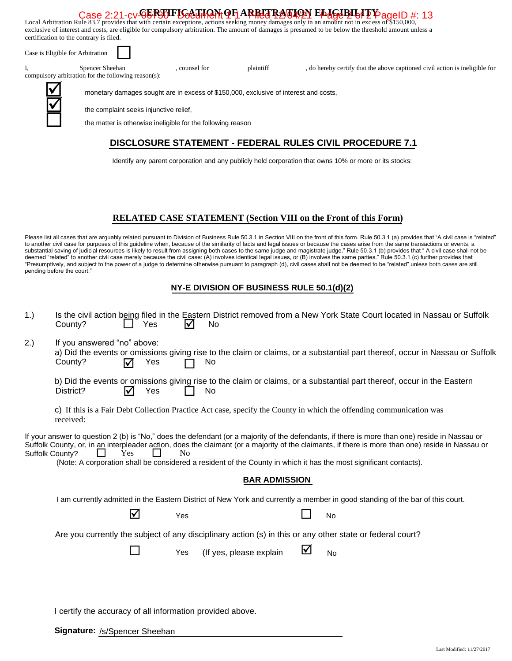#### **CERTIFICATION OF ARBITRATION ELIGIBILITY** Case 2:21-cv-06730 Photo Rule 11 ARREA B2/04/21 PageD # 2 PageID #: 13<br>Local Arbitration Rule 83.7 provides that with certain exceptions, actions seeking money damages only in an amount not in excess of \$150,000,

exclusive of interest and costs, are eligible for compulsory arbitration. The amount of damages is presumed to be below the threshold amount unless a certification to the contrary is filed.

| Case is Eligible for Arbitration                                       |                                                                                                                                |           |                                                                           |  |  |  |  |  |
|------------------------------------------------------------------------|--------------------------------------------------------------------------------------------------------------------------------|-----------|---------------------------------------------------------------------------|--|--|--|--|--|
| Spencer Sheehan<br>compulsory arbitration for the following reason(s): | counsel for                                                                                                                    | plaintiff | do hereby certify that the above captioned civil action is ineligible for |  |  |  |  |  |
|                                                                        | monetary damages sought are in excess of \$150,000, exclusive of interest and costs,<br>the complaint seeks injunctive relief, |           |                                                                           |  |  |  |  |  |
|                                                                        | the matter is otherwise ineligible for the following reason                                                                    |           |                                                                           |  |  |  |  |  |
|                                                                        |                                                                                                                                |           | <b>DISCLOSURE STATEMENT - FEDERAL RULES CIVIL PROCEDURE 7.1</b>           |  |  |  |  |  |

Identify any parent corporation and any publicly held corporation that owns 10% or more or its stocks:

## **RELATED CASE STATEMENT (Section VIII on the Front of this Form)**

Please list all cases that are arguably related pursuant to Division of Business Rule 50.3.1 in Section VIII on the front of this form. Rule 50.3.1 (a) provides that "A civil case is "related" to another civil case for purposes of this guideline when, because of the similarity of facts and legal issues or because the cases arise from the same transactions or events, a substantial saving of judicial resources is likely to result from assigning both cases to the same judge and magistrate judge." Rule 50.3.1 (b) provides that "A civil case shall not be deemed "related" to another civil case merely because the civil case: (A) involves identical legal issues, or (B) involves the same parties." Rule 50.3.1 (c) further provides that "Presumptively, and subject to the power of a judge to determine otherwise pursuant to paragraph (d), civil cases shall not be deemed to be "related" unless both cases are still pending before the court."

## **NY-E DIVISION OF BUSINESS RULE 50.1(d)(2)**

| 1.) | County?                                                                                                                                                                                                                                                                                                                                                                                                                                                            | Yes                            | IV  | <b>No</b>               |   | Is the civil action being filed in the Eastern District removed from a New York State Court located in Nassau or Suffolk     |  |  |  |
|-----|--------------------------------------------------------------------------------------------------------------------------------------------------------------------------------------------------------------------------------------------------------------------------------------------------------------------------------------------------------------------------------------------------------------------------------------------------------------------|--------------------------------|-----|-------------------------|---|------------------------------------------------------------------------------------------------------------------------------|--|--|--|
| 2.) | If you answered "no" above:<br>County?                                                                                                                                                                                                                                                                                                                                                                                                                             | Yes<br>☑                       |     | No.                     |   | a) Did the events or omissions giving rise to the claim or claims, or a substantial part thereof, occur in Nassau or Suffolk |  |  |  |
|     | District?                                                                                                                                                                                                                                                                                                                                                                                                                                                          | Yes<br>$\overline{\mathsf{M}}$ |     | No                      |   | b) Did the events or omissions giving rise to the claim or claims, or a substantial part thereof, occur in the Eastern       |  |  |  |
|     | received:                                                                                                                                                                                                                                                                                                                                                                                                                                                          |                                |     |                         |   | c) If this is a Fair Debt Collection Practice Act case, specify the County in which the offending communication was          |  |  |  |
|     | If your answer to question 2 (b) is "No," does the defendant (or a majority of the defendants, if there is more than one) reside in Nassau or<br>Suffolk County, or, in an interpleader action, does the claimant (or a majority of the claimants, if there is more than one) reside in Nassau or<br>Suffolk County?<br>Yes<br>N <sub>0</sub><br>(Note: A corporation shall be considered a resident of the County in which it has the most significant contacts). |                                |     |                         |   |                                                                                                                              |  |  |  |
|     | <b>BAR ADMISSION</b>                                                                                                                                                                                                                                                                                                                                                                                                                                               |                                |     |                         |   |                                                                                                                              |  |  |  |
|     | I am currently admitted in the Eastern District of New York and currently a member in good standing of the bar of this court.                                                                                                                                                                                                                                                                                                                                      |                                |     |                         |   |                                                                                                                              |  |  |  |
|     |                                                                                                                                                                                                                                                                                                                                                                                                                                                                    | ☑                              | Yes |                         |   | <b>No</b>                                                                                                                    |  |  |  |
|     | Are you currently the subject of any disciplinary action (s) in this or any other state or federal court?                                                                                                                                                                                                                                                                                                                                                          |                                |     |                         |   |                                                                                                                              |  |  |  |
|     |                                                                                                                                                                                                                                                                                                                                                                                                                                                                    |                                | Yes | (If yes, please explain | ⊻ | No                                                                                                                           |  |  |  |
|     |                                                                                                                                                                                                                                                                                                                                                                                                                                                                    |                                |     |                         |   |                                                                                                                              |  |  |  |
|     | I certify the accuracy of all information provided above.                                                                                                                                                                                                                                                                                                                                                                                                          |                                |     |                         |   |                                                                                                                              |  |  |  |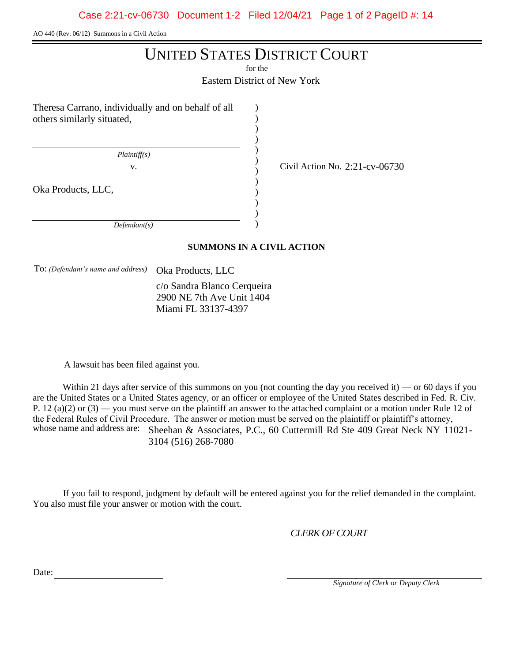AO 440 (Rev. 06/12) Summons in a Civil Action

## UNITED STATES DISTRICT COURT

for the

Eastern District of New York

) ) ) ) ) ) ) ) ) ) ) )

v. Civil Action No. 2:21-cv-06730

Theresa Carrano, individually and on behalf of all others similarly situated,

 *Plaintiff(s)*

Oka Products, LLC,

 *Defendant(s)*

## **SUMMONS IN A CIVIL ACTION**

To: *(Defendant's name and address)* Oka Products, LLC

c/o Sandra Blanco Cerqueira 2900 NE 7th Ave Unit 1404 Miami FL 33137-4397

A lawsuit has been filed against you.

Within 21 days after service of this summons on you (not counting the day you received it) — or 60 days if you are the United States or a United States agency, or an officer or employee of the United States described in Fed. R. Civ. P. 12 (a)(2) or  $(3)$  — you must serve on the plaintiff an answer to the attached complaint or a motion under Rule 12 of the Federal Rules of Civil Procedure. The answer or motion must be served on the plaintiff or plaintiff's attorney, whose name and address are: Sheehan & Associates, P.C., 60 Cuttermill Rd Ste 409 Great Neck NY 11021-3104 (516) 268-7080

If you fail to respond, judgment by default will be entered against you for the relief demanded in the complaint. You also must file your answer or motion with the court.

*CLERK OF COURT*

Date:

 *Signature of Clerk or Deputy Clerk*